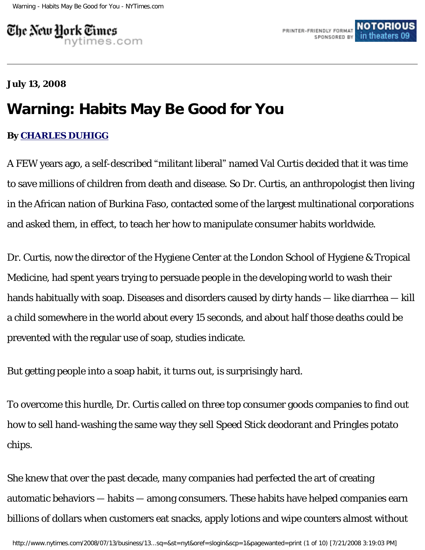



## **July 13, 2008**

## **Warning: Habits May Be Good for You**

## **By [CHARLES DUHIGG](http://topics.nytimes.com/top/reference/timestopics/people/d/charles_duhigg/index.html?inline=nyt-per)**

A FEW years ago, a self-described "militant liberal" named Val Curtis decided that it was time to save millions of children from death and disease. So Dr. Curtis, an anthropologist then living in the African nation of Burkina Faso, contacted some of the largest multinational corporations and asked them, in effect, to teach her how to manipulate consumer habits worldwide.

Dr. Curtis, now the director of the Hygiene Center at the London School of Hygiene & Tropical Medicine, had spent years trying to persuade people in the developing world to wash their hands habitually with soap. Diseases and disorders caused by dirty hands — like diarrhea — kill a child somewhere in the world about every 15 seconds, and about half those deaths could be prevented with the regular use of soap, studies indicate.

But getting people into a soap habit, it turns out, is surprisingly hard.

To overcome this hurdle, Dr. Curtis called on three top consumer goods companies to find out how to sell hand-washing the same way they sell Speed Stick deodorant and Pringles potato chips.

She knew that over the past decade, many companies had perfected the art of creating automatic behaviors — habits — among consumers. These habits have helped companies earn billions of dollars when customers eat snacks, apply lotions and wipe counters almost without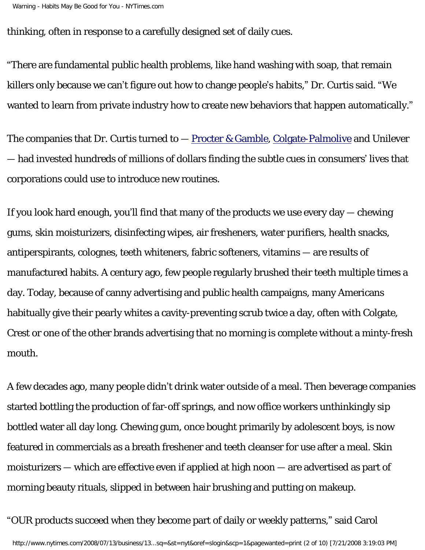thinking, often in response to a carefully designed set of daily cues.

"There are fundamental public health problems, like hand washing with soap, that remain killers only because we can't figure out how to change people's habits," Dr. Curtis said. "We wanted to learn from private industry how to create new behaviors that happen automatically."

The companies that Dr. Curtis turned to  $-$  [Procter & Gamble](http://topics.nytimes.com/top/news/business/companies/procter_and_gamble/index.html?inline=nyt-org), [Colgate-Palmolive](http://topics.nytimes.com/top/news/business/companies/colgate_palmolive_company/index.html?inline=nyt-org) and Unilever — had invested hundreds of millions of dollars finding the subtle cues in consumers' lives that corporations could use to introduce new routines.

If you look hard enough, you'll find that many of the products we use every day — chewing gums, skin moisturizers, disinfecting wipes, air fresheners, water purifiers, health snacks, antiperspirants, colognes, teeth whiteners, fabric softeners, vitamins — are results of manufactured habits. A century ago, few people regularly brushed their teeth multiple times a day. Today, because of canny advertising and public health campaigns, many Americans habitually give their pearly whites a cavity-preventing scrub twice a day, often with Colgate, Crest or one of the other brands advertising that no morning is complete without a minty-fresh mouth.

A few decades ago, many people didn't drink water outside of a meal. Then beverage companies started bottling the production of far-off springs, and now office workers unthinkingly sip bottled water all day long. Chewing gum, once bought primarily by adolescent boys, is now featured in commercials as a breath freshener and teeth cleanser for use after a meal. Skin moisturizers — which are effective even if applied at high noon — are advertised as part of morning beauty rituals, slipped in between hair brushing and putting on makeup.

"OUR products succeed when they become part of daily or weekly patterns," said Carol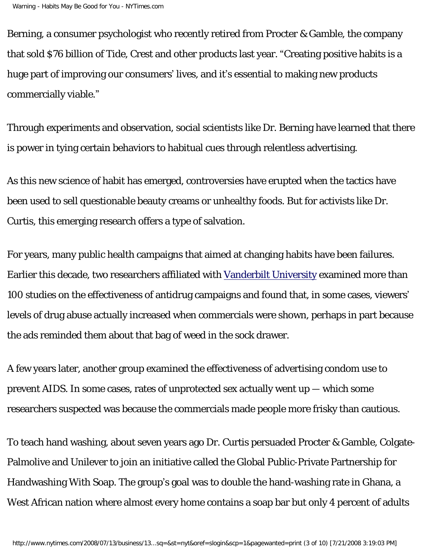Berning, a consumer psychologist who recently retired from Procter & Gamble, the company that sold \$76 billion of Tide, Crest and other products last year. "Creating positive habits is a huge part of improving our consumers' lives, and it's essential to making new products commercially viable."

Through experiments and observation, social scientists like Dr. Berning have learned that there is power in tying certain behaviors to habitual cues through relentless advertising.

As this new science of habit has emerged, controversies have erupted when the tactics have been used to sell questionable beauty creams or unhealthy foods. But for activists like Dr. Curtis, this emerging research offers a type of salvation.

For years, many public health campaigns that aimed at changing habits have been failures. Earlier this decade, two researchers affiliated with [Vanderbilt University](http://topics.nytimes.com/top/reference/timestopics/organizations/v/vanderbilt_university/index.html?inline=nyt-org) examined more than 100 studies on the effectiveness of antidrug campaigns and found that, in some cases, viewers' levels of drug abuse actually increased when commercials were shown, perhaps in part because the ads reminded them about that bag of weed in the sock drawer.

A few years later, another group examined the effectiveness of advertising condom use to prevent AIDS. In some cases, rates of unprotected sex actually went up — which some researchers suspected was because the commercials made people more frisky than cautious.

To teach hand washing, about seven years ago Dr. Curtis persuaded Procter & Gamble, Colgate-Palmolive and Unilever to join an initiative called the Global Public-Private Partnership for Handwashing With Soap. The group's goal was to double the hand-washing rate in Ghana, a West African nation where almost every home contains a soap bar but only 4 percent of adults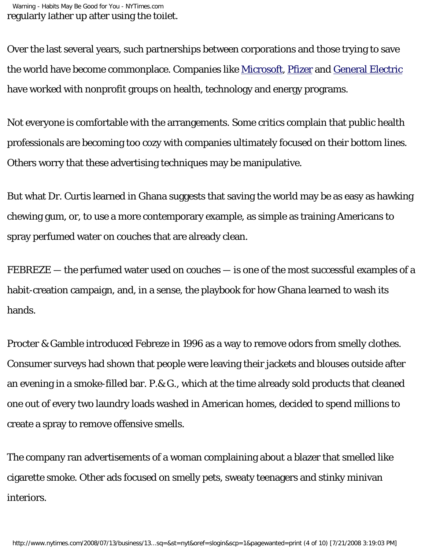Over the last several years, such partnerships between corporations and those trying to save the world have become commonplace. Companies like [Microsoft](http://topics.nytimes.com/top/news/business/companies/microsoft_corporation/index.html?inline=nyt-org), [Pfizer](http://topics.nytimes.com/top/news/business/companies/pfizer_inc/index.html?inline=nyt-org) and [General Electric](http://topics.nytimes.com/top/news/business/companies/general_electric_company/index.html?inline=nyt-org) have worked with nonprofit groups on health, technology and energy programs.

Not everyone is comfortable with the arrangements. Some critics complain that public health professionals are becoming too cozy with companies ultimately focused on their bottom lines. Others worry that these advertising techniques may be manipulative.

But what Dr. Curtis learned in Ghana suggests that saving the world may be as easy as hawking chewing gum, or, to use a more contemporary example, as simple as training Americans to spray perfumed water on couches that are already clean.

FEBREZE — the perfumed water used on couches — is one of the most successful examples of a habit-creation campaign, and, in a sense, the playbook for how Ghana learned to wash its hands.

Procter & Gamble introduced Febreze in 1996 as a way to remove odors from smelly clothes. Consumer surveys had shown that people were leaving their jackets and blouses outside after an evening in a smoke-filled bar. P.& G., which at the time already sold products that cleaned one out of every two laundry loads washed in American homes, decided to spend millions to create a spray to remove offensive smells.

The company ran advertisements of a woman complaining about a blazer that smelled like cigarette smoke. Other ads focused on smelly pets, sweaty teenagers and stinky minivan interiors.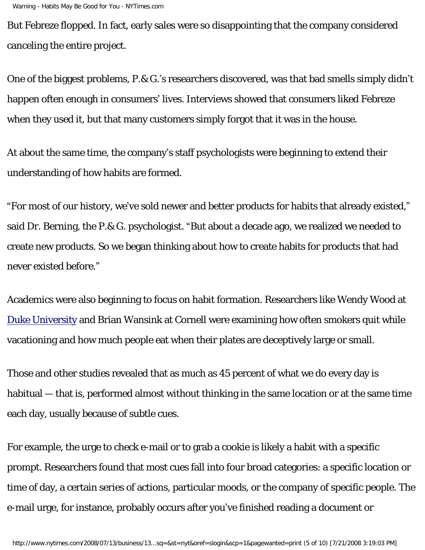But Febreze flopped. In fact, early sales were so disappointing that the company considered canceling the entire project.

One of the biggest problems, P.& G.'s researchers discovered, was that bad smells simply didn't happen often enough in consumers' lives. Interviews showed that consumers liked Febreze when they used it, but that many customers simply forgot that it was in the house.

At about the same time, the company's staff psychologists were beginning to extend their understanding of how habits are formed.

"For most of our history, we've sold newer and better products for habits that already existed," said Dr. Berning, the P.& G. psychologist. "But about a decade ago, we realized we needed to create new products. So we began thinking about how to create habits for products that had never existed before."

Academics were also beginning to focus on habit formation. Researchers like Wendy Wood at [Duke University](http://topics.nytimes.com/top/reference/timestopics/organizations/d/duke_university/index.html?inline=nyt-org) and Brian Wansink at Cornell were examining how often smokers quit while vacationing and how much people eat when their plates are deceptively large or small.

Those and other studies revealed that as much as 45 percent of what we do every day is habitual — that is, performed almost without thinking in the same location or at the same time each day, usually because of subtle cues.

For example, the urge to check e-mail or to grab a cookie is likely a habit with a specific prompt. Researchers found that most cues fall into four broad categories: a specific location or time of day, a certain series of actions, particular moods, or the company of specific people. The e-mail urge, for instance, probably occurs after you've finished reading a document or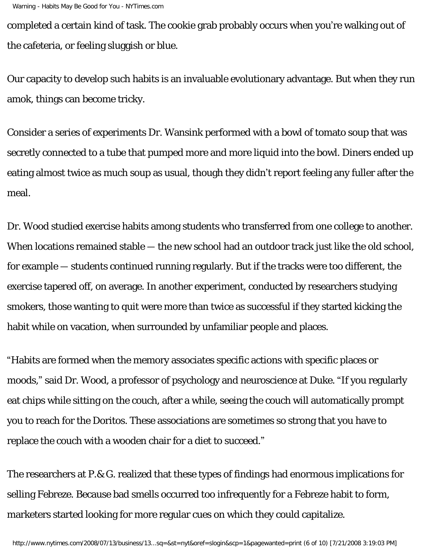completed a certain kind of task. The cookie grab probably occurs when you're walking out of the cafeteria, or feeling sluggish or blue.

Our capacity to develop such habits is an invaluable evolutionary advantage. But when they run amok, things can become tricky.

Consider a series of experiments Dr. Wansink performed with a bowl of tomato soup that was secretly connected to a tube that pumped more and more liquid into the bowl. Diners ended up eating almost twice as much soup as usual, though they didn't report feeling any fuller after the meal.

Dr. Wood studied exercise habits among students who transferred from one college to another. When locations remained stable — the new school had an outdoor track just like the old school, for example — students continued running regularly. But if the tracks were too different, the exercise tapered off, on average. In another experiment, conducted by researchers studying smokers, those wanting to quit were more than twice as successful if they started kicking the habit while on vacation, when surrounded by unfamiliar people and places.

"Habits are formed when the memory associates specific actions with specific places or moods," said Dr. Wood, a professor of psychology and neuroscience at Duke. "If you regularly eat chips while sitting on the couch, after a while, seeing the couch will automatically prompt you to reach for the Doritos. These associations are sometimes so strong that you have to replace the couch with a wooden chair for a diet to succeed."

The researchers at P.& G. realized that these types of findings had enormous implications for selling Febreze. Because bad smells occurred too infrequently for a Febreze habit to form, marketers started looking for more regular cues on which they could capitalize.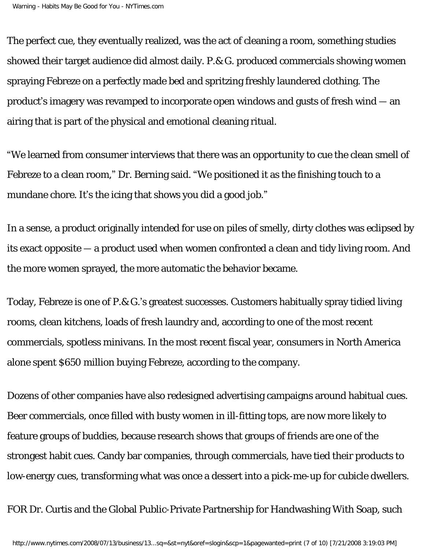The perfect cue, they eventually realized, was the act of cleaning a room, something studies showed their target audience did almost daily. P.& G. produced commercials showing women spraying Febreze on a perfectly made bed and spritzing freshly laundered clothing. The product's imagery was revamped to incorporate open windows and gusts of fresh wind — an airing that is part of the physical and emotional cleaning ritual.

"We learned from consumer interviews that there was an opportunity to cue the clean smell of Febreze to a clean room," Dr. Berning said. "We positioned it as the finishing touch to a mundane chore. It's the icing that shows you did a good job."

In a sense, a product originally intended for use on piles of smelly, dirty clothes was eclipsed by its exact opposite — a product used when women confronted a clean and tidy living room. And the more women sprayed, the more automatic the behavior became.

Today, Febreze is one of P.& G.'s greatest successes. Customers habitually spray tidied living rooms, clean kitchens, loads of fresh laundry and, according to one of the most recent commercials, spotless minivans. In the most recent fiscal year, consumers in North America alone spent \$650 million buying Febreze, according to the company.

Dozens of other companies have also redesigned advertising campaigns around habitual cues. Beer commercials, once filled with busty women in ill-fitting tops, are now more likely to feature groups of buddies, because research shows that groups of friends are one of the strongest habit cues. Candy bar companies, through commercials, have tied their products to low-energy cues, transforming what was once a dessert into a pick-me-up for cubicle dwellers.

FOR Dr. Curtis and the Global Public-Private Partnership for Handwashing With Soap, such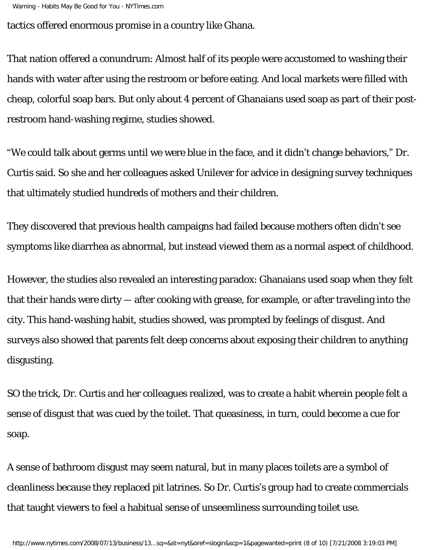tactics offered enormous promise in a country like Ghana.

That nation offered a conundrum: Almost half of its people were accustomed to washing their hands with water after using the restroom or before eating. And local markets were filled with cheap, colorful soap bars. But only about 4 percent of Ghanaians used soap as part of their postrestroom hand-washing regime, studies showed.

"We could talk about germs until we were blue in the face, and it didn't change behaviors," Dr. Curtis said. So she and her colleagues asked Unilever for advice in designing survey techniques that ultimately studied hundreds of mothers and their children.

They discovered that previous health campaigns had failed because mothers often didn't see symptoms like diarrhea as abnormal, but instead viewed them as a normal aspect of childhood.

However, the studies also revealed an interesting paradox: Ghanaians used soap when they felt that their hands were dirty — after cooking with grease, for example, or after traveling into the city. This hand-washing habit, studies showed, was prompted by feelings of disgust. And surveys also showed that parents felt deep concerns about exposing their children to anything disgusting.

SO the trick, Dr. Curtis and her colleagues realized, was to create a habit wherein people felt a sense of disgust that was cued by the toilet. That queasiness, in turn, could become a cue for soap.

A sense of bathroom disgust may seem natural, but in many places toilets are a symbol of cleanliness because they replaced pit latrines. So Dr. Curtis's group had to create commercials that taught viewers to feel a habitual sense of unseemliness surrounding toilet use.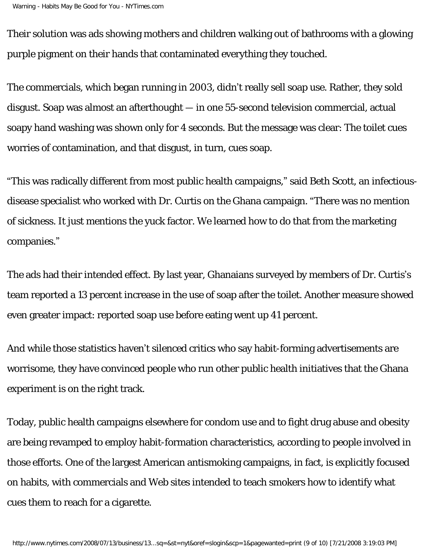Their solution was ads showing mothers and children walking out of bathrooms with a glowing purple pigment on their hands that contaminated everything they touched.

The commercials, which began running in 2003, didn't really sell soap use. Rather, they sold disgust. Soap was almost an afterthought — in one 55-second television commercial, actual soapy hand washing was shown only for 4 seconds. But the message was clear: The toilet cues worries of contamination, and that disgust, in turn, cues soap.

"This was radically different from most public health campaigns," said Beth Scott, an infectiousdisease specialist who worked with Dr. Curtis on the Ghana campaign. "There was no mention of sickness. It just mentions the yuck factor. We learned how to do that from the marketing companies."

The ads had their intended effect. By last year, Ghanaians surveyed by members of Dr. Curtis's team reported a 13 percent increase in the use of soap after the toilet. Another measure showed even greater impact: reported soap use before eating went up 41 percent.

And while those statistics haven't silenced critics who say habit-forming advertisements are worrisome, they have convinced people who run other public health initiatives that the Ghana experiment is on the right track.

Today, public health campaigns elsewhere for condom use and to fight drug abuse and obesity are being revamped to employ habit-formation characteristics, according to people involved in those efforts. One of the largest American antismoking campaigns, in fact, is explicitly focused on habits, with commercials and Web sites intended to teach smokers how to identify what cues them to reach for a cigarette.